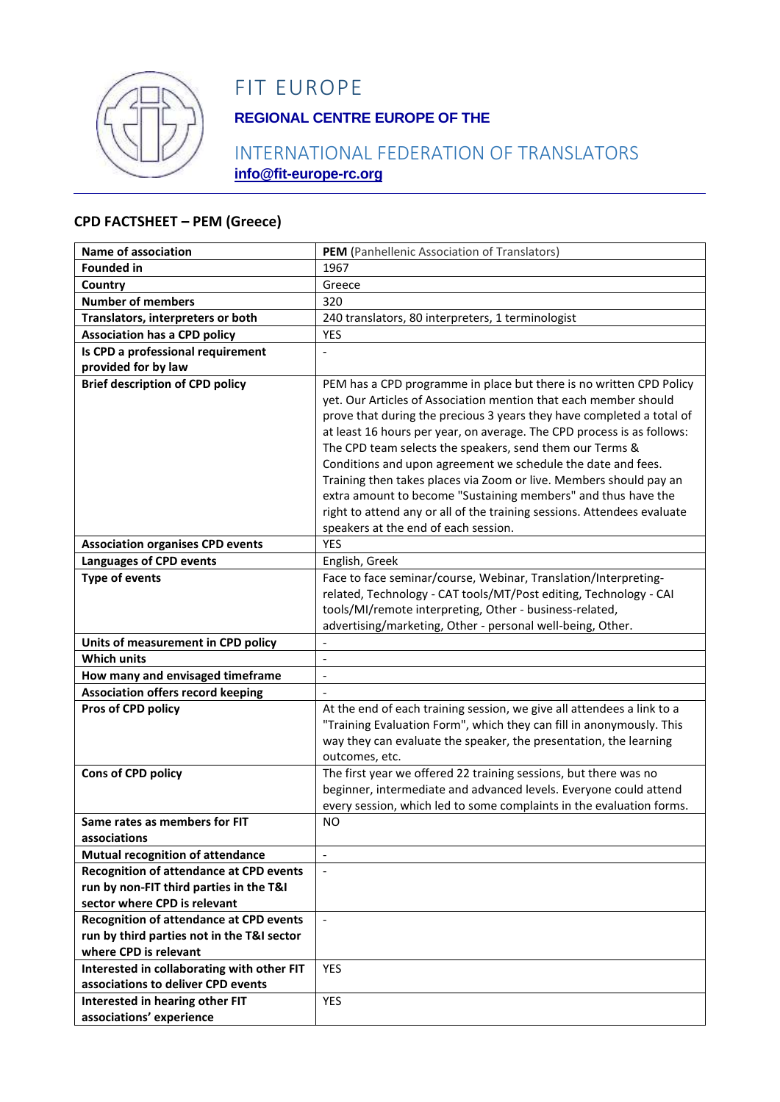

# FIT EUROPE

## **REGIONAL CENTRE EUROPE OF THE**

### INTERNATIONAL FEDERATION OF TRANSLATORS **info@fit-europe-rc.org**

#### **CPD FACTSHEET – PEM (Greece)**

| Name of association                                         | PEM (Panhellenic Association of Translators)                                                                                                                                                                                                                                                                                                                                                                                                                                                                                                                                                                                                                                     |
|-------------------------------------------------------------|----------------------------------------------------------------------------------------------------------------------------------------------------------------------------------------------------------------------------------------------------------------------------------------------------------------------------------------------------------------------------------------------------------------------------------------------------------------------------------------------------------------------------------------------------------------------------------------------------------------------------------------------------------------------------------|
| <b>Founded in</b>                                           | 1967                                                                                                                                                                                                                                                                                                                                                                                                                                                                                                                                                                                                                                                                             |
| Country                                                     | Greece                                                                                                                                                                                                                                                                                                                                                                                                                                                                                                                                                                                                                                                                           |
| <b>Number of members</b>                                    | 320                                                                                                                                                                                                                                                                                                                                                                                                                                                                                                                                                                                                                                                                              |
| Translators, interpreters or both                           | 240 translators, 80 interpreters, 1 terminologist                                                                                                                                                                                                                                                                                                                                                                                                                                                                                                                                                                                                                                |
| <b>Association has a CPD policy</b>                         | <b>YES</b>                                                                                                                                                                                                                                                                                                                                                                                                                                                                                                                                                                                                                                                                       |
| Is CPD a professional requirement                           |                                                                                                                                                                                                                                                                                                                                                                                                                                                                                                                                                                                                                                                                                  |
| provided for by law                                         |                                                                                                                                                                                                                                                                                                                                                                                                                                                                                                                                                                                                                                                                                  |
| <b>Brief description of CPD policy</b>                      | PEM has a CPD programme in place but there is no written CPD Policy<br>yet. Our Articles of Association mention that each member should<br>prove that during the precious 3 years they have completed a total of<br>at least 16 hours per year, on average. The CPD process is as follows:<br>The CPD team selects the speakers, send them our Terms &<br>Conditions and upon agreement we schedule the date and fees.<br>Training then takes places via Zoom or live. Members should pay an<br>extra amount to become "Sustaining members" and thus have the<br>right to attend any or all of the training sessions. Attendees evaluate<br>speakers at the end of each session. |
| <b>Association organises CPD events</b>                     | <b>YES</b>                                                                                                                                                                                                                                                                                                                                                                                                                                                                                                                                                                                                                                                                       |
| <b>Languages of CPD events</b>                              | English, Greek                                                                                                                                                                                                                                                                                                                                                                                                                                                                                                                                                                                                                                                                   |
| <b>Type of events</b>                                       | Face to face seminar/course, Webinar, Translation/Interpreting-                                                                                                                                                                                                                                                                                                                                                                                                                                                                                                                                                                                                                  |
|                                                             | related, Technology - CAT tools/MT/Post editing, Technology - CAI<br>tools/MI/remote interpreting, Other - business-related,<br>advertising/marketing, Other - personal well-being, Other.                                                                                                                                                                                                                                                                                                                                                                                                                                                                                       |
| Units of measurement in CPD policy                          |                                                                                                                                                                                                                                                                                                                                                                                                                                                                                                                                                                                                                                                                                  |
| <b>Which units</b>                                          | $\overline{a}$                                                                                                                                                                                                                                                                                                                                                                                                                                                                                                                                                                                                                                                                   |
| How many and envisaged timeframe                            | $\frac{1}{2}$                                                                                                                                                                                                                                                                                                                                                                                                                                                                                                                                                                                                                                                                    |
| <b>Association offers record keeping</b>                    |                                                                                                                                                                                                                                                                                                                                                                                                                                                                                                                                                                                                                                                                                  |
| Pros of CPD policy                                          | At the end of each training session, we give all attendees a link to a<br>"Training Evaluation Form", which they can fill in anonymously. This<br>way they can evaluate the speaker, the presentation, the learning<br>outcomes, etc.                                                                                                                                                                                                                                                                                                                                                                                                                                            |
| Cons of CPD policy                                          | The first year we offered 22 training sessions, but there was no<br>beginner, intermediate and advanced levels. Everyone could attend<br>every session, which led to some complaints in the evaluation forms.                                                                                                                                                                                                                                                                                                                                                                                                                                                                    |
| Same rates as members for FIT                               | <b>NO</b>                                                                                                                                                                                                                                                                                                                                                                                                                                                                                                                                                                                                                                                                        |
| associations                                                |                                                                                                                                                                                                                                                                                                                                                                                                                                                                                                                                                                                                                                                                                  |
| <b>Mutual recognition of attendance</b>                     | $\mathbf{r}$                                                                                                                                                                                                                                                                                                                                                                                                                                                                                                                                                                                                                                                                     |
| <b>Recognition of attendance at CPD events</b>              |                                                                                                                                                                                                                                                                                                                                                                                                                                                                                                                                                                                                                                                                                  |
| run by non-FIT third parties in the T&I                     |                                                                                                                                                                                                                                                                                                                                                                                                                                                                                                                                                                                                                                                                                  |
| sector where CPD is relevant                                |                                                                                                                                                                                                                                                                                                                                                                                                                                                                                                                                                                                                                                                                                  |
| <b>Recognition of attendance at CPD events</b>              | $\blacksquare$                                                                                                                                                                                                                                                                                                                                                                                                                                                                                                                                                                                                                                                                   |
| run by third parties not in the T&I sector                  |                                                                                                                                                                                                                                                                                                                                                                                                                                                                                                                                                                                                                                                                                  |
| where CPD is relevant                                       |                                                                                                                                                                                                                                                                                                                                                                                                                                                                                                                                                                                                                                                                                  |
| Interested in collaborating with other FIT                  | <b>YES</b>                                                                                                                                                                                                                                                                                                                                                                                                                                                                                                                                                                                                                                                                       |
| associations to deliver CPD events                          |                                                                                                                                                                                                                                                                                                                                                                                                                                                                                                                                                                                                                                                                                  |
|                                                             |                                                                                                                                                                                                                                                                                                                                                                                                                                                                                                                                                                                                                                                                                  |
| Interested in hearing other FIT<br>associations' experience | <b>YES</b>                                                                                                                                                                                                                                                                                                                                                                                                                                                                                                                                                                                                                                                                       |